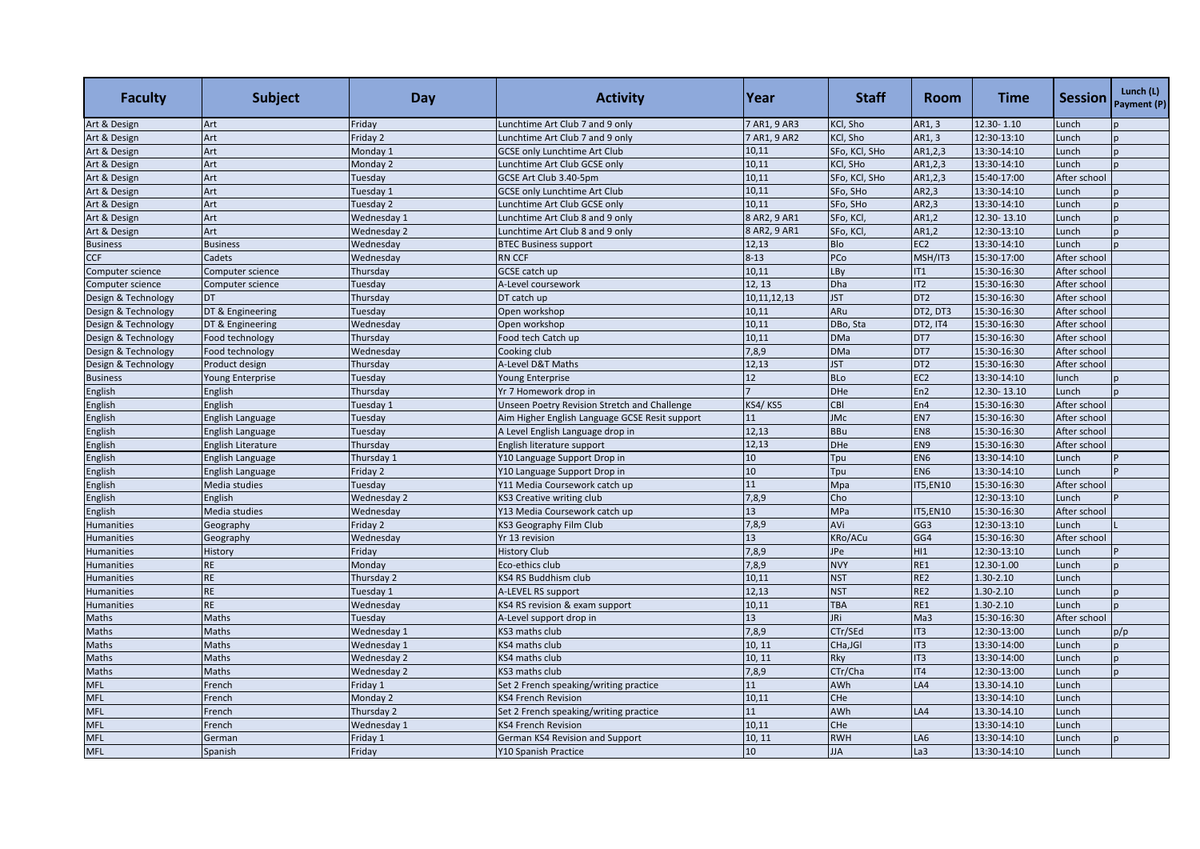| <b>Faculty</b>      | <b>Subject</b>     | <b>Day</b>  | <b>Activity</b>                                | Year            | <b>Staff</b>  | <b>Room</b>     | Time        | <b>Session</b> | Lunch (L)<br>Payment (P) |
|---------------------|--------------------|-------------|------------------------------------------------|-----------------|---------------|-----------------|-------------|----------------|--------------------------|
| Art & Design        | Art                | Friday      | Lunchtime Art Club 7 and 9 only                | 7 AR1, 9 AR3    | KCI, Sho      | AR1, 3          | 12.30-1.10  | Lunch          |                          |
| Art & Design        | Art                | Friday 2    | Lunchtime Art Club 7 and 9 only                | 7 AR1, 9 AR2    | KCI, Sho      | AR1, 3          | 12:30-13:10 | Lunch          |                          |
| Art & Design        | Art                | Monday 1    | <b>GCSE only Lunchtime Art Club</b>            | 10.11           | SFo, KCl, SHo | AR1,2,3         | 13:30-14:10 | Lunch          |                          |
| Art & Design        | Art                | Monday 2    | Lunchtime Art Club GCSE only                   | 10,11           | KCI, SHo      | AR1,2,3         | 13:30-14:10 | Lunch          |                          |
| Art & Design        | Art                | Tuesday     | GCSE Art Club 3.40-5pm                         | 10,11           | SFo, KCl, SHo | AR1,2,3         | 15:40-17:00 | After school   |                          |
| Art & Design        | Art                | Tuesday 1   | <b>GCSE only Lunchtime Art Club</b>            | 10,11           | SFo, SHo      | AR2,3           | 13:30-14:10 | Lunch          |                          |
| Art & Design        | Art                | Tuesday 2   | Lunchtime Art Club GCSE only                   | 10,11           | SFo, SHo      | AR2,3           | 13:30-14:10 | Lunch          |                          |
| Art & Design        | Art                | Wednesday 1 | Lunchtime Art Club 8 and 9 only                | 8 AR2, 9 AR1    | SFo, KCl,     | AR1,2           | 12.30-13.10 | Lunch          |                          |
| Art & Design        | Art                | Wednesday 2 | Lunchtime Art Club 8 and 9 only                | 8 AR2, 9 AR1    | SFo, KCl,     | AR1,2           | 12:30-13:10 | Lunch          |                          |
| <b>Business</b>     | <b>Business</b>    | Wednesday   | <b>BTEC Business support</b>                   | 12,13           | <b>Blo</b>    | EC <sub>2</sub> | 13:30-14:10 | Lunch          |                          |
| <b>CCF</b>          | Cadets             | Wednesday   | RN CCF                                         | $8 - 13$        | PCo           | MSH/IT3         | 15:30-17:00 | After school   |                          |
| Computer science    | Computer science   | Thursday    | GCSE catch up                                  | 10,11           | LBy           | IT <sub>1</sub> | 15:30-16:30 | After school   |                          |
| Computer science    | Computer science   | Tuesday     | A-Level coursework                             | 12, 13          | Dha           | IT <sub>2</sub> | 15:30-16:30 | After school   |                          |
| Design & Technology | <b>DT</b>          | Thursday    | DT catch up                                    | 10,11,12,13     | <b>JST</b>    | DT <sub>2</sub> | 15:30-16:30 | After school   |                          |
| Design & Technology | DT & Engineering   | Tuesday     | Open workshop                                  | 10,11           | ARu           | DT2, DT3        | 15:30-16:30 | After school   |                          |
| Design & Technology | DT & Engineering   | Wednesday   | Open workshop                                  | 10,11           | DBo, Sta      | DT2, IT4        | 15:30-16:30 | After school   |                          |
| Design & Technology | Food technology    | Thursday    | Food tech Catch up                             | 10,11           | <b>DMa</b>    | DT7             | 15:30-16:30 | After school   |                          |
| Design & Technology | Food technology    | Wednesday   | Cooking club                                   | 7,8,9           | <b>DMa</b>    | DT7             | 15:30-16:30 | After school   |                          |
| Design & Technology | Product design     | Thursday    | A-Level D&T Maths                              | 12,13           | <b>JST</b>    | DT <sub>2</sub> | 15:30-16:30 | After school   |                          |
| <b>Business</b>     | Young Enterprise   | Tuesday     | Young Enterprise                               | 12              | <b>BLo</b>    | EC <sub>2</sub> | 13:30-14:10 | lunch          |                          |
| English             | English            | Thursday    | Yr 7 Homework drop in                          |                 | DHe           | En <sub>2</sub> | 12.30-13.10 | Lunch          |                          |
| English             | English            | Tuesday 1   | Unseen Poetry Revision Stretch and Challenge   | <b>KS4/KS5</b>  | CBI           | En4             | 15:30-16:30 | After school   |                          |
| English             | English Language   | Tuesday     | Aim Higher English Language GCSE Resit support | 11              | <b>JMc</b>    | EN7             | 15:30-16:30 | After school   |                          |
| English             | English Language   | Tuesday     | A Level English Language drop in               | 12,13           | <b>BBu</b>    | EN8             | 15:30-16:30 | After school   |                          |
| English             | English Literature | Thursday    | English literature support                     | 12,13           | DHe           | EN <sub>9</sub> | 15:30-16:30 | After school   |                          |
| English             | English Language   | Thursday 1  | Y10 Language Support Drop in                   | 10              | Tpu           | EN <sub>6</sub> | 13:30-14:10 | Lunch          |                          |
| English             | English Language   | Friday 2    | Y10 Language Support Drop in                   | 10              | Tpu           | EN <sub>6</sub> | 13:30-14:10 | Lunch          |                          |
| English             | Media studies      | Tuesday     | Y11 Media Coursework catch up                  | $\overline{11}$ | Mpa           | <b>IT5,EN10</b> | 15:30-16:30 | After school   |                          |
| English             | English            | Wednesday 2 | KS3 Creative writing club                      | 7,8,9           | Cho           |                 | 12:30-13:10 | Lunch          |                          |
| English             | Media studies      | Wednesday   | Y13 Media Coursework catch up                  | 13              | MPa           | IT5, EN10       | 15:30-16:30 | After school   |                          |
| Humanities          | Geography          | Friday 2    | KS3 Geography Film Club                        | 7,8,9           | AVi           | GG <sub>3</sub> | 12:30-13:10 | Lunch          |                          |
| Humanities          | Geography          | Wednesday   | Yr 13 revision                                 | 13              | KRo/ACu       | GG4             | 15:30-16:30 | After school   |                          |
| Humanities          | History            | Friday      | <b>History Club</b>                            | 7,8,9           | JPe           | H11             | 12:30-13:10 | Lunch          |                          |
| Humanities          | <b>RE</b>          | Monday      | Eco-ethics club                                | 7,8,9           | <b>NVY</b>    | RE1             | 12.30-1.00  | Lunch          |                          |
| Humanities          | <b>RE</b>          | Thursday 2  | KS4 RS Buddhism club                           | 10,11           | <b>NST</b>    | RE <sub>2</sub> | 1.30-2.10   | Lunch          |                          |
| Humanities          | <b>RE</b>          | Tuesday 1   | A-LEVEL RS support                             | 12,13           | <b>NST</b>    | RE <sub>2</sub> | 1.30-2.10   | Lunch          |                          |
| <b>Humanities</b>   | <b>RE</b>          | Wednesday   | KS4 RS revision & exam support                 | 10,11           | <b>TBA</b>    | RE1             | 1.30-2.10   | Lunch          |                          |
| Maths               | Maths              | Tuesday     | A-Level support drop in                        | 13              | <b>JRi</b>    | Ma3             | 15:30-16:30 | After school   |                          |
| Maths               | Maths              | Wednesday 1 | KS3 maths club                                 | 7,8,9           | CTr/SEd       | IT3             | 12:30-13:00 | Lunch          | p/p                      |
| Maths               | Maths              | Wednesday 1 | KS4 maths club                                 | 10, 11          | CHa,JGI       | IT3             | 13:30-14:00 | Lunch          |                          |
| Maths               | Maths              | Wednesday 2 | KS4 maths club                                 | 10, 11          | Rky           | IT <sub>3</sub> | 13:30-14:00 | Lunch          |                          |
| Maths               | Maths              | Wednesday 2 | KS3 maths club                                 | 7,8,9           | CTr/Cha       | IT4             | 12:30-13:00 | Lunch          |                          |
| <b>MFL</b>          | French             | Friday 1    | Set 2 French speaking/writing practice         | 11              | AWh           | LA4             | 13.30-14.10 | Lunch          |                          |
| <b>MFL</b>          | French             | Monday 2    | <b>KS4 French Revision</b>                     | 10,11           | CHe           |                 | 13:30-14:10 | Lunch          |                          |
| <b>MFL</b>          | French             | Thursday 2  | Set 2 French speaking/writing practice         | 11              | AWh           | LA4             | 13.30-14.10 | Lunch          |                          |
| <b>MFL</b>          | French             | Wednesday 1 | <b>KS4 French Revision</b>                     | 10,11           | CHe           |                 | 13:30-14:10 | Lunch          |                          |
| <b>MFL</b>          | German             | Friday 1    | German KS4 Revision and Support                | 10, 11          | <b>RWH</b>    | LA6             | 13:30-14:10 | Lunch          | n                        |
| <b>MFL</b>          | Spanish            | Friday      | Y10 Spanish Practice                           | 10              | <b>JJA</b>    | La <sub>3</sub> | 13:30-14:10 | Lunch          |                          |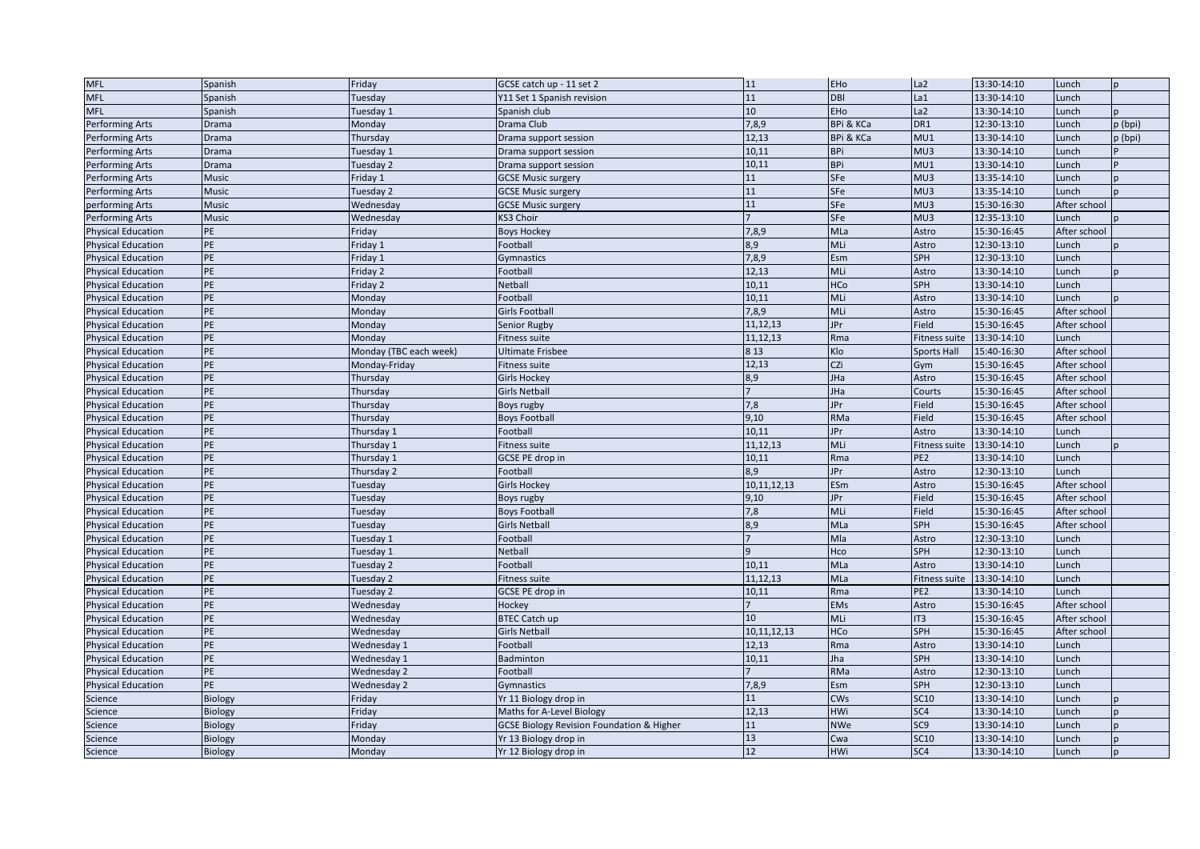| <b>MFL</b>                | Spanish        | Friday                 | GCSE catch up - 11 set 2                             | 11             | EHo        | La2                | 13:30-14:10 | Lunch        | $\mathsf{D}$ |
|---------------------------|----------------|------------------------|------------------------------------------------------|----------------|------------|--------------------|-------------|--------------|--------------|
| <b>MFL</b>                | Spanish        | Tuesday                | Y11 Set 1 Spanish revision                           | 11             | <b>DBI</b> | La <sub>1</sub>    | 13:30-14:10 | Lunch        |              |
| <b>MFL</b>                | Spanish        | Tuesday 1              | Spanish club                                         | 10             | EHo        | La2                | 13:30-14:10 | Lunch        |              |
| <b>Performing Arts</b>    | Drama          | Monday                 | Drama Club                                           | 7,8,9          | BPi & KCa  | DR1                | 12:30-13:10 | Lunch        | p (bpi)      |
| <b>Performing Arts</b>    | Drama          | Thursday               | Drama support session                                | 12,13          | BPi & KCa  | MU1                | 13:30-14:10 | Lunch        | p (bpi)      |
| <b>Performing Arts</b>    | Drama          | Tuesday 1              | Drama support session                                | 10,11          | <b>BPi</b> | MU3                | 13:30-14:10 | Lunch        |              |
| <b>Performing Arts</b>    | Drama          | Tuesday 2              | Drama support session                                | 10,11          | <b>BPi</b> | MU1                | 13:30-14:10 | Lunch        |              |
| <b>Performing Arts</b>    | Music          | Friday 1               | <b>GCSE Music surgery</b>                            | 11             | SFe        | MU3                | 13:35-14:10 | Lunch        | $\mathbf{D}$ |
| <b>Performing Arts</b>    | <b>Music</b>   | Tuesday 2              | <b>GCSE Music surgery</b>                            | 11             | SFe        | MU3                | 13:35-14:10 | Lunch        |              |
| performing Arts           | Music          | Wednesday              | <b>GCSE Music surgery</b>                            | 11             | SFe        | MU3                | 15:30-16:30 | After school |              |
| Performing Arts           | <b>Music</b>   | Wednesday              | KS3 Choir                                            |                | SFe        | MU3                | 12:35-13:10 | Lunch        |              |
| <b>Physical Education</b> | PE             | Friday                 | <b>Boys Hockey</b>                                   | 7,8,9          | MLa        | Astro              | 15:30-16:45 | After school |              |
| <b>Physical Education</b> | PE             | Friday 1               | Football                                             | 8,9            | MLi        | Astro              | 12:30-13:10 | Lunch        |              |
| <b>Physical Education</b> | PE             | Friday 1               | Gymnastics                                           | 7,8,9          | Esm        | SPH                | 12:30-13:10 | Lunch        |              |
| <b>Physical Education</b> | PE             | Friday 2               | Football                                             | 12,13          | MLi        | Astro              | 13:30-14:10 | Lunch        |              |
| <b>Physical Education</b> | PE             | Friday 2               | Netball                                              | 10,11          | HCo        | SPH                | 13:30-14:10 | Lunch        |              |
| <b>Physical Education</b> | PE             | Monday                 | Football                                             | 10,11          | MLi        | Astro              | 13:30-14:10 | Lunch        |              |
| <b>Physical Education</b> | PE             | Monday                 | <b>Girls Football</b>                                | 7,8,9          | MLi        | Astro              | 15:30-16:45 | After school |              |
| <b>Physical Education</b> | PE             | Monday                 | Senior Rugby                                         | 11, 12, 13     | JPr        | Field              | 15:30-16:45 | After school |              |
| <b>Physical Education</b> | PE             | Monday                 | Fitness suite                                        | 11, 12, 13     | Rma        | Fitness suite      | 13:30-14:10 | Lunch        |              |
| <b>Physical Education</b> | PE             | Monday (TBC each week) | <b>Ultimate Frisbee</b>                              | 8 1 3          | Klo        | <b>Sports Hall</b> | 15:40-16:30 | After school |              |
| <b>Physical Education</b> | PE             | Monday-Friday          | Fitness suite                                        | 12,13          | CZi        | Gym                | 15:30-16:45 | After school |              |
| <b>Physical Education</b> | PE             | Thursday               | <b>Girls Hockey</b>                                  | 8,9            | JHa        | Astro              | 15:30-16:45 | After school |              |
| <b>Physical Education</b> | PE             | Thursday               | <b>Girls Netball</b>                                 |                | JHa        | Courts             | 15:30-16:45 | After school |              |
| <b>Physical Education</b> | PE             | Thursday               | Boys rugby                                           | 7,8            | JPr        | Field              | 15:30-16:45 | After school |              |
| <b>Physical Education</b> | PE             | Thursday               | <b>Boys Football</b>                                 | 9,10           | RMa        | Field              | 15:30-16:45 | After school |              |
| <b>Physical Education</b> | PE             | Thursday 1             | Football                                             | 10,11          | JPr        | Astro              | 13:30-14:10 | Lunch        |              |
| <b>Physical Education</b> | PE             | Thursday 1             | Fitness suite                                        | 11, 12, 13     | MLi        | Fitness suite      | 13:30-14:10 | Lunch        |              |
| <b>Physical Education</b> | PE             | Thursday 1             | <b>GCSE PE drop in</b>                               | 10,11          | Rma        | PE <sub>2</sub>    | 13:30-14:10 | Lunch        |              |
| <b>Physical Education</b> | PE             | Thursday 2             | Football                                             | 8,9            | JPr        | Astro              | 12:30-13:10 | Lunch        |              |
| <b>Physical Education</b> | PE             | Tuesday                | <b>Girls Hockey</b>                                  | 10, 11, 12, 13 | ESm        | Astro              | 15:30-16:45 | After school |              |
| <b>Physical Education</b> | PE             | Tuesday                | Boys rugby                                           | 9,10           | JPr        | Field              | 15:30-16:45 | After school |              |
| <b>Physical Education</b> | PE             | Tuesday                | <b>Boys Football</b>                                 | 7,8            | MLi        | Field              | 15:30-16:45 | After school |              |
| <b>Physical Education</b> | PE             | Tuesday                | <b>Girls Netball</b>                                 | 8,9            | MLa        | SPH                | 15:30-16:45 | After school |              |
| <b>Physical Education</b> | PE             | Tuesday 1              | Football                                             |                | Mla        | Astro              | 12:30-13:10 | Lunch        |              |
| <b>Physical Education</b> | PE             | Tuesday 1              | Netball                                              |                | Hco        | SPH                | 12:30-13:10 | Lunch        |              |
| <b>Physical Education</b> | PE             | Tuesday 2              | Football                                             | 10,11          | MLa        | Astro              | 13:30-14:10 | Lunch        |              |
| <b>Physical Education</b> | PE             | Tuesday 2              | Fitness suite                                        | 11, 12, 13     | MLa        | Fitness suite      | 13:30-14:10 | Lunch        |              |
| <b>Physical Education</b> | PE             | Tuesday 2              | <b>GCSE PE drop in</b>                               | 10,11          | Rma        | PE <sub>2</sub>    | 13:30-14:10 | Lunch        |              |
| <b>Physical Education</b> | PE             | Wednesday              | Hockey                                               |                | <b>EMs</b> | Astro              | 15:30-16:45 | After school |              |
| <b>Physical Education</b> | PE             | Wednesday              | <b>BTEC Catch up</b>                                 | 10             | MLi        | IT3                | 15:30-16:45 | After school |              |
| <b>Physical Education</b> | PE             | Wednesday              | <b>Girls Netball</b>                                 | 10,11,12,13    | <b>HCo</b> | SPH                | 15:30-16:45 | After school |              |
| <b>Physical Education</b> | PE             | Wednesday 1            | Football                                             | 12,13          | Rma        | Astro              | 13:30-14:10 | Lunch        |              |
| <b>Physical Education</b> | PE             | Wednesday 1            | Badminton                                            | 10,11          | Jha        | SPH                | 13:30-14:10 | Lunch        |              |
| <b>Physical Education</b> | PE             | Wednesday 2            | Football                                             |                | RMa        | Astro              | 12:30-13:10 | Lunch        |              |
| <b>Physical Education</b> | PE             | Wednesday 2            | Gymnastics                                           | 7,8,9          | Esm        | <b>SPH</b>         | 12:30-13:10 | Lunch        |              |
| Science                   | <b>Biology</b> | Friday                 | Yr 11 Biology drop in                                | 11             | CWs        | <b>SC10</b>        | 13:30-14:10 | Lunch        |              |
| Science                   | Biology        | Friday                 | Maths for A-Level Biology                            | 12,13          | <b>HWi</b> | SC <sub>4</sub>    | 13:30-14:10 | Lunch        |              |
| Science                   | <b>Biology</b> | Friday                 | <b>GCSE Biology Revision Foundation &amp; Higher</b> | 11             | <b>NWe</b> | SC9                | 13:30-14:10 | Lunch        |              |
| Science                   | <b>Biology</b> | Monday                 | Yr 13 Biology drop in                                | 13             | Cwa        | <b>SC10</b>        | 13:30-14:10 | Lunch        |              |
| Science                   | <b>Biology</b> | Monday                 | Yr 12 Biology drop in                                | 12             | <b>HWi</b> | SC <sub>4</sub>    | 13:30-14:10 | Lunch        | $\mathbf{D}$ |